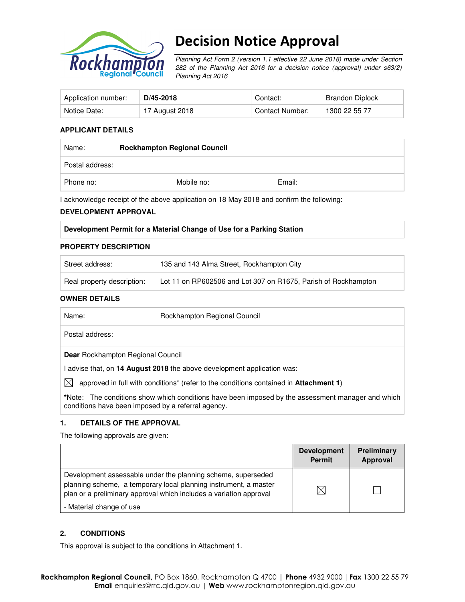

# Decision Notice Approval

Planning Act Form 2 (version 1.1 effective 22 June 2018) made under Section 282 of the Planning Act 2016 for a decision notice (approval) under s63(2) Planning Act 2016

| Application number: | D/45-2018      | Contact:        | Brandon Diplock |
|---------------------|----------------|-----------------|-----------------|
| Notice Date:        | 17 August 2018 | Contact Number: | 1300 22 55 77   |

#### **APPLICANT DETAILS**

| Name:           | <b>Rockhampton Regional Council</b> |        |  |
|-----------------|-------------------------------------|--------|--|
| Postal address: |                                     |        |  |
| Phone no:       | Mobile no:                          | Email: |  |

I acknowledge receipt of the above application on 18 May 2018 and confirm the following:

#### **DEVELOPMENT APPROVAL**

#### **Development Permit for a Material Change of Use for a Parking Station**

#### **PROPERTY DESCRIPTION**

| Street address:            | 135 and 143 Alma Street, Rockhampton City                      |
|----------------------------|----------------------------------------------------------------|
| Real property description: | Lot 11 on RP602506 and Lot 307 on R1675, Parish of Rockhampton |

#### **OWNER DETAILS**

| Name:                                              | Rockhampton Regional Council                                                                              |
|----------------------------------------------------|-----------------------------------------------------------------------------------------------------------|
| Postal address:                                    |                                                                                                           |
| <b>Dear</b> Rockhampton Regional Council           |                                                                                                           |
|                                                    | l advise that, on 14 August 2018 the above development application was:                                   |
| IXI                                                | approved in full with conditions <sup>*</sup> (refer to the conditions contained in <b>Attachment 1</b> ) |
| conditions have been imposed by a referral agency. | *Note: The conditions show which conditions have been imposed by the assessment manager and which         |

#### **1. DETAILS OF THE APPROVAL**

The following approvals are given:

|                                                                                                                                                                                                        | <b>Development</b><br><b>Permit</b> | <b>Preliminary</b><br>Approval |
|--------------------------------------------------------------------------------------------------------------------------------------------------------------------------------------------------------|-------------------------------------|--------------------------------|
| Development assessable under the planning scheme, superseded<br>planning scheme, a temporary local planning instrument, a master<br>plan or a preliminary approval which includes a variation approval |                                     |                                |
| - Material change of use                                                                                                                                                                               |                                     |                                |

#### **2. CONDITIONS**

This approval is subject to the conditions in Attachment 1.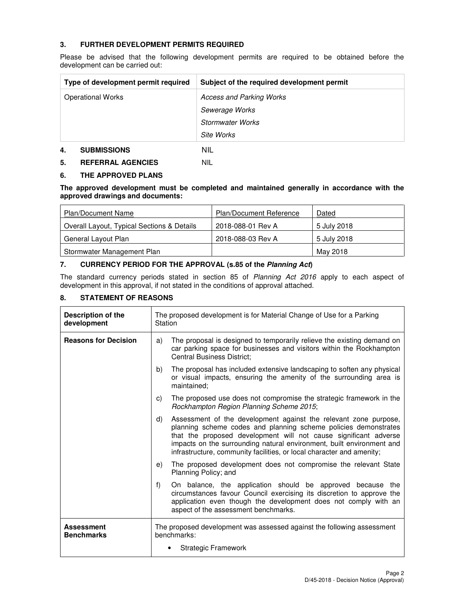### **3. FURTHER DEVELOPMENT PERMITS REQUIRED**

Please be advised that the following development permits are required to be obtained before the development can be carried out:

| Type of development permit required | Subject of the required development permit |
|-------------------------------------|--------------------------------------------|
| <b>Operational Works</b>            | Access and Parking Works                   |
|                                     | Sewerage Works                             |
|                                     | <b>Stormwater Works</b>                    |
|                                     | Site Works                                 |
| 4.<br><b>SUBMISSIONS</b>            | NIL                                        |

#### **5. REFERRAL AGENCIES** NIL

#### **6. THE APPROVED PLANS**

**The approved development must be completed and maintained generally in accordance with the approved drawings and documents:** 

| <b>Plan/Document Name</b>                  | <b>Plan/Document Reference</b> | Dated       |
|--------------------------------------------|--------------------------------|-------------|
| Overall Layout, Typical Sections & Details | 2018-088-01 Rev A              | 5 July 2018 |
| General Layout Plan                        | 2018-088-03 Rev A              | 5 July 2018 |
| Stormwater Management Plan                 |                                | May 2018    |

#### **7. CURRENCY PERIOD FOR THE APPROVAL (s.85 of the Planning Act)**

The standard currency periods stated in section 85 of Planning Act 2016 apply to each aspect of development in this approval, if not stated in the conditions of approval attached.

### **8. STATEMENT OF REASONS**

| Description of the<br>development      | The proposed development is for Material Change of Use for a Parking<br>Station                                                                                                                                                                                                                                                                                 |  |
|----------------------------------------|-----------------------------------------------------------------------------------------------------------------------------------------------------------------------------------------------------------------------------------------------------------------------------------------------------------------------------------------------------------------|--|
| <b>Reasons for Decision</b>            | The proposal is designed to temporarily relieve the existing demand on<br>a)<br>car parking space for businesses and visitors within the Rockhampton<br><b>Central Business District;</b>                                                                                                                                                                       |  |
|                                        | The proposal has included extensive landscaping to soften any physical<br>b)<br>or visual impacts, ensuring the amenity of the surrounding area is<br>maintained:                                                                                                                                                                                               |  |
|                                        | The proposed use does not compromise the strategic framework in the<br>C)<br>Rockhampton Region Planning Scheme 2015;                                                                                                                                                                                                                                           |  |
|                                        | Assessment of the development against the relevant zone purpose,<br>d)<br>planning scheme codes and planning scheme policies demonstrates<br>that the proposed development will not cause significant adverse<br>impacts on the surrounding natural environment, built environment and<br>infrastructure, community facilities, or local character and amenity; |  |
|                                        | The proposed development does not compromise the relevant State<br>e)<br>Planning Policy; and                                                                                                                                                                                                                                                                   |  |
|                                        | f<br>On balance, the application should be approved because the<br>circumstances favour Council exercising its discretion to approve the<br>application even though the development does not comply with an<br>aspect of the assessment benchmarks.                                                                                                             |  |
| <b>Assessment</b><br><b>Benchmarks</b> | The proposed development was assessed against the following assessment<br>benchmarks:                                                                                                                                                                                                                                                                           |  |
|                                        | <b>Strategic Framework</b>                                                                                                                                                                                                                                                                                                                                      |  |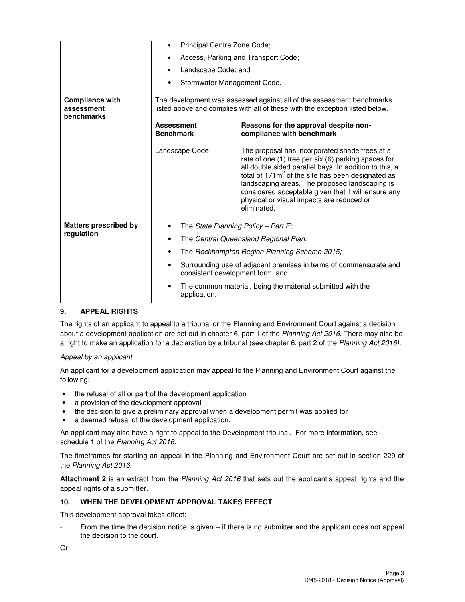|                                                    | Principal Centre Zone Code;<br>Access, Parking and Transport Code;                                                                                    |                                                                                                                                                                                                                                                                                                                                                                                              |  |
|----------------------------------------------------|-------------------------------------------------------------------------------------------------------------------------------------------------------|----------------------------------------------------------------------------------------------------------------------------------------------------------------------------------------------------------------------------------------------------------------------------------------------------------------------------------------------------------------------------------------------|--|
|                                                    |                                                                                                                                                       |                                                                                                                                                                                                                                                                                                                                                                                              |  |
|                                                    | Landscape Code; and                                                                                                                                   |                                                                                                                                                                                                                                                                                                                                                                                              |  |
|                                                    | Stormwater Management Code.                                                                                                                           |                                                                                                                                                                                                                                                                                                                                                                                              |  |
| <b>Compliance with</b><br>assessment<br>benchmarks | The development was assessed against all of the assessment benchmarks<br>listed above and complies with all of these with the exception listed below. |                                                                                                                                                                                                                                                                                                                                                                                              |  |
|                                                    | <b>Assessment</b><br><b>Benchmark</b>                                                                                                                 | Reasons for the approval despite non-<br>compliance with benchmark                                                                                                                                                                                                                                                                                                                           |  |
|                                                    | Landscape Code                                                                                                                                        | The proposal has incorporated shade trees at a<br>rate of one (1) tree per six (6) parking spaces for<br>all double sided parallel bays. In addition to this, a<br>total of $171m^2$ of the site has been designated as<br>landscaping areas. The proposed landscaping is<br>considered acceptable given that it will ensure any<br>physical or visual impacts are reduced or<br>eliminated. |  |
| <b>Matters prescribed by</b>                       | The State Planning Policy - Part E;<br>$\bullet$                                                                                                      |                                                                                                                                                                                                                                                                                                                                                                                              |  |
| regulation                                         | The Central Queensland Regional Plan;                                                                                                                 |                                                                                                                                                                                                                                                                                                                                                                                              |  |
|                                                    | The Rockhampton Region Planning Scheme 2015;                                                                                                          |                                                                                                                                                                                                                                                                                                                                                                                              |  |
|                                                    |                                                                                                                                                       | Surrounding use of adjacent premises in terms of commensurate and<br>consistent development form; and                                                                                                                                                                                                                                                                                        |  |
|                                                    | application.                                                                                                                                          | The common material, being the material submitted with the                                                                                                                                                                                                                                                                                                                                   |  |

## **9. APPEAL RIGHTS**

The rights of an applicant to appeal to a tribunal or the Planning and Environment Court against a decision about a development application are set out in chapter 6, part 1 of the Planning Act 2016. There may also be a right to make an application for a declaration by a tribunal (see chapter 6, part 2 of the Planning Act 2016).

## Appeal by an applicant

An applicant for a development application may appeal to the Planning and Environment Court against the following:

- the refusal of all or part of the development application
- a provision of the development approval
- the decision to give a preliminary approval when a development permit was applied for
- a deemed refusal of the development application.

An applicant may also have a right to appeal to the Development tribunal. For more information, see schedule 1 of the Planning Act 2016.

The timeframes for starting an appeal in the Planning and Environment Court are set out in section 229 of the Planning Act 2016.

**Attachment 2** is an extract from the Planning Act 2016 that sets out the applicant's appeal rights and the appeal rights of a submitter.

## **10. WHEN THE DEVELOPMENT APPROVAL TAKES EFFECT**

This development approval takes effect:

From the time the decision notice is given  $-$  if there is no submitter and the applicant does not appeal the decision to the court.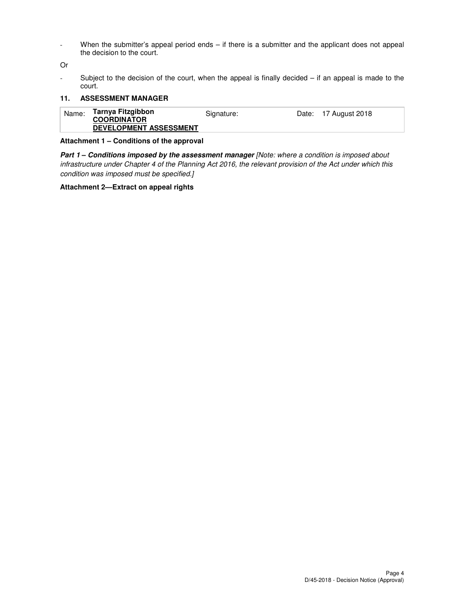- When the submitter's appeal period ends – if there is a submitter and the applicant does not appeal the decision to the court.

Or

- Subject to the decision of the court, when the appeal is finally decided – if an appeal is made to the court.

#### **11. ASSESSMENT MANAGER**

| Tarnya Fitzgibbon<br>Name:<br>Date: 17 August 2018<br>Signature:<br><b>COORDINATOR</b><br><b>DEVELOPMENT ASSESSMENT</b> |  |
|-------------------------------------------------------------------------------------------------------------------------|--|
|-------------------------------------------------------------------------------------------------------------------------|--|

#### **Attachment 1 – Conditions of the approval**

**Part 1 – Conditions imposed by the assessment manager** [Note: where a condition is imposed about infrastructure under Chapter 4 of the Planning Act 2016, the relevant provision of the Act under which this condition was imposed must be specified.]

#### **Attachment 2—Extract on appeal rights**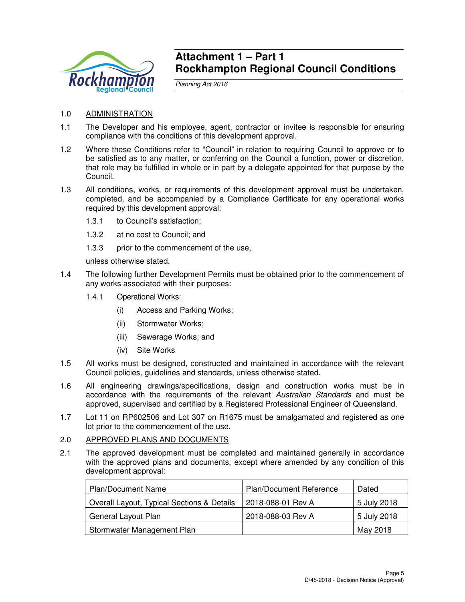

## **Attachment 1 – Part 1 Rockhampton Regional Council Conditions**

Planning Act 2016

- 1.0 ADMINISTRATION
- 1.1 The Developer and his employee, agent, contractor or invitee is responsible for ensuring compliance with the conditions of this development approval.
- 1.2 Where these Conditions refer to "Council" in relation to requiring Council to approve or to be satisfied as to any matter, or conferring on the Council a function, power or discretion, that role may be fulfilled in whole or in part by a delegate appointed for that purpose by the Council.
- 1.3 All conditions, works, or requirements of this development approval must be undertaken, completed, and be accompanied by a Compliance Certificate for any operational works required by this development approval:
	- 1.3.1 to Council's satisfaction;
	- 1.3.2 at no cost to Council; and
	- 1.3.3 prior to the commencement of the use,

unless otherwise stated.

- 1.4 The following further Development Permits must be obtained prior to the commencement of any works associated with their purposes:
	- 1.4.1 Operational Works:
		- (i) Access and Parking Works;
		- (ii) Stormwater Works;
		- (iii) Sewerage Works; and
		- (iv) Site Works
- 1.5 All works must be designed, constructed and maintained in accordance with the relevant Council policies, guidelines and standards, unless otherwise stated.
- 1.6 All engineering drawings/specifications, design and construction works must be in accordance with the requirements of the relevant Australian Standards and must be approved, supervised and certified by a Registered Professional Engineer of Queensland.
- 1.7 Lot 11 on RP602506 and Lot 307 on R1675 must be amalgamated and registered as one lot prior to the commencement of the use.

#### 2.0 APPROVED PLANS AND DOCUMENTS

2.1 The approved development must be completed and maintained generally in accordance with the approved plans and documents, except where amended by any condition of this development approval:

| <b>Plan/Document Name</b>                  | Plan/Document Reference | Dated       |
|--------------------------------------------|-------------------------|-------------|
| Overall Layout, Typical Sections & Details | 2018-088-01 Rev A       | 5 July 2018 |
| General Layout Plan                        | 2018-088-03 Rev A       | 5 July 2018 |
| Stormwater Management Plan                 |                         | May 2018    |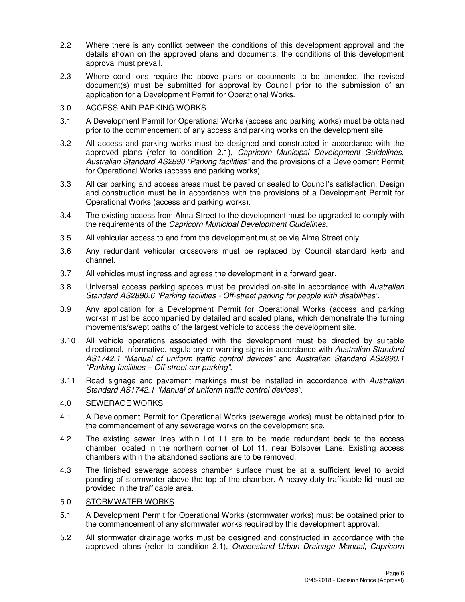- 2.2 Where there is any conflict between the conditions of this development approval and the details shown on the approved plans and documents, the conditions of this development approval must prevail.
- 2.3 Where conditions require the above plans or documents to be amended, the revised document(s) must be submitted for approval by Council prior to the submission of an application for a Development Permit for Operational Works.

## 3.0 ACCESS AND PARKING WORKS

- 3.1 A Development Permit for Operational Works (access and parking works) must be obtained prior to the commencement of any access and parking works on the development site.
- 3.2 All access and parking works must be designed and constructed in accordance with the approved plans (refer to condition 2.1), Capricorn Municipal Development Guidelines, Australian Standard AS2890 "Parking facilities" and the provisions of a Development Permit for Operational Works (access and parking works).
- 3.3 All car parking and access areas must be paved or sealed to Council's satisfaction. Design and construction must be in accordance with the provisions of a Development Permit for Operational Works (access and parking works).
- 3.4 The existing access from Alma Street to the development must be upgraded to comply with the requirements of the Capricorn Municipal Development Guidelines.
- 3.5 All vehicular access to and from the development must be via Alma Street only.
- 3.6 Any redundant vehicular crossovers must be replaced by Council standard kerb and channel.
- 3.7 All vehicles must ingress and egress the development in a forward gear.
- 3.8 Universal access parking spaces must be provided on-site in accordance with Australian Standard AS2890.6 "Parking facilities - Off-street parking for people with disabilities".
- 3.9 Any application for a Development Permit for Operational Works (access and parking works) must be accompanied by detailed and scaled plans, which demonstrate the turning movements/swept paths of the largest vehicle to access the development site.
- 3.10 All vehicle operations associated with the development must be directed by suitable directional, informative, regulatory or warning signs in accordance with Australian Standard AS1742.1 "Manual of uniform traffic control devices" and Australian Standard AS2890.1 "Parking facilities – Off-street car parking".
- 3.11 Road signage and pavement markings must be installed in accordance with Australian Standard AS1742.1 "Manual of uniform traffic control devices".

## 4.0 SEWERAGE WORKS

- 4.1 A Development Permit for Operational Works (sewerage works) must be obtained prior to the commencement of any sewerage works on the development site.
- 4.2 The existing sewer lines within Lot 11 are to be made redundant back to the access chamber located in the northern corner of Lot 11, near Bolsover Lane. Existing access chambers within the abandoned sections are to be removed.
- 4.3 The finished sewerage access chamber surface must be at a sufficient level to avoid ponding of stormwater above the top of the chamber. A heavy duty trafficable lid must be provided in the trafficable area.

## 5.0 STORMWATER WORKS

- 5.1 A Development Permit for Operational Works (stormwater works) must be obtained prior to the commencement of any stormwater works required by this development approval.
- 5.2 All stormwater drainage works must be designed and constructed in accordance with the approved plans (refer to condition 2.1), Queensland Urban Drainage Manual, Capricorn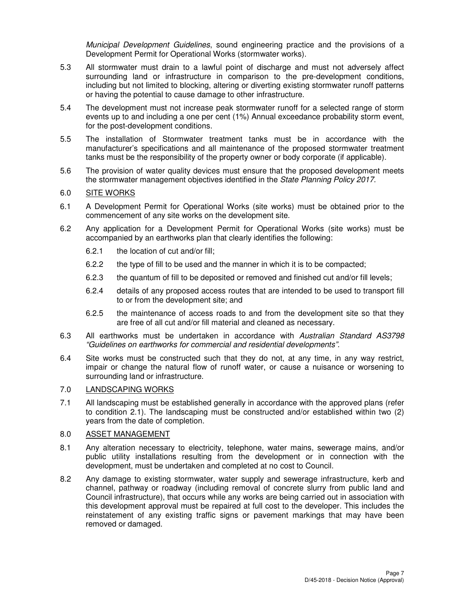Municipal Development Guidelines, sound engineering practice and the provisions of a Development Permit for Operational Works (stormwater works).

- 5.3 All stormwater must drain to a lawful point of discharge and must not adversely affect surrounding land or infrastructure in comparison to the pre-development conditions, including but not limited to blocking, altering or diverting existing stormwater runoff patterns or having the potential to cause damage to other infrastructure.
- 5.4 The development must not increase peak stormwater runoff for a selected range of storm events up to and including a one per cent (1%) Annual exceedance probability storm event, for the post-development conditions.
- 5.5 The installation of Stormwater treatment tanks must be in accordance with the manufacturer's specifications and all maintenance of the proposed stormwater treatment tanks must be the responsibility of the property owner or body corporate (if applicable).
- 5.6 The provision of water quality devices must ensure that the proposed development meets the stormwater management objectives identified in the State Planning Policy 2017.

### 6.0 SITE WORKS

- 6.1 A Development Permit for Operational Works (site works) must be obtained prior to the commencement of any site works on the development site.
- 6.2 Any application for a Development Permit for Operational Works (site works) must be accompanied by an earthworks plan that clearly identifies the following:
	- 6.2.1 the location of cut and/or fill;
	- 6.2.2 the type of fill to be used and the manner in which it is to be compacted;
	- 6.2.3 the quantum of fill to be deposited or removed and finished cut and/or fill levels;
	- 6.2.4 details of any proposed access routes that are intended to be used to transport fill to or from the development site; and
	- 6.2.5 the maintenance of access roads to and from the development site so that they are free of all cut and/or fill material and cleaned as necessary.
- 6.3 All earthworks must be undertaken in accordance with Australian Standard AS3798 "Guidelines on earthworks for commercial and residential developments".
- 6.4 Site works must be constructed such that they do not, at any time, in any way restrict, impair or change the natural flow of runoff water, or cause a nuisance or worsening to surrounding land or infrastructure.

## 7.0 LANDSCAPING WORKS

7.1 All landscaping must be established generally in accordance with the approved plans (refer to condition 2.1). The landscaping must be constructed and/or established within two (2) years from the date of completion.

#### 8.0 ASSET MANAGEMENT

- 8.1 Any alteration necessary to electricity, telephone, water mains, sewerage mains, and/or public utility installations resulting from the development or in connection with the development, must be undertaken and completed at no cost to Council.
- 8.2 Any damage to existing stormwater, water supply and sewerage infrastructure, kerb and channel, pathway or roadway (including removal of concrete slurry from public land and Council infrastructure), that occurs while any works are being carried out in association with this development approval must be repaired at full cost to the developer. This includes the reinstatement of any existing traffic signs or pavement markings that may have been removed or damaged.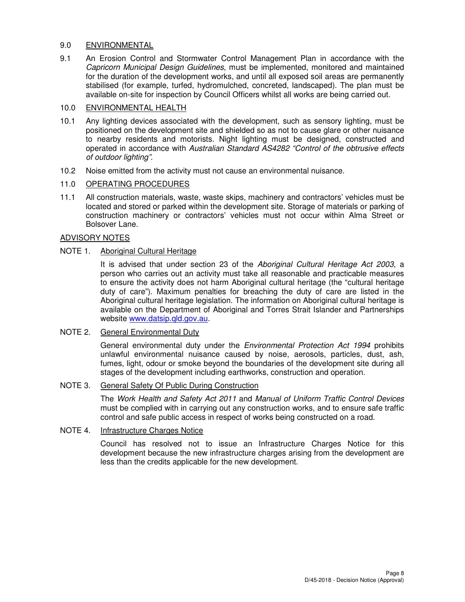#### 9.0 ENVIRONMENTAL

9.1 An Erosion Control and Stormwater Control Management Plan in accordance with the Capricorn Municipal Design Guidelines, must be implemented, monitored and maintained for the duration of the development works, and until all exposed soil areas are permanently stabilised (for example, turfed, hydromulched, concreted, landscaped). The plan must be available on-site for inspection by Council Officers whilst all works are being carried out.

### 10.0 ENVIRONMENTAL HEALTH

- 10.1 Any lighting devices associated with the development, such as sensory lighting, must be positioned on the development site and shielded so as not to cause glare or other nuisance to nearby residents and motorists. Night lighting must be designed, constructed and operated in accordance with Australian Standard AS4282 "Control of the obtrusive effects of outdoor lighting".
- 10.2 Noise emitted from the activity must not cause an environmental nuisance.

### 11.0 OPERATING PROCEDURES

11.1 All construction materials, waste, waste skips, machinery and contractors' vehicles must be located and stored or parked within the development site. Storage of materials or parking of construction machinery or contractors' vehicles must not occur within Alma Street or Bolsover Lane.

## ADVISORY NOTES

### NOTE 1. Aboriginal Cultural Heritage

It is advised that under section 23 of the Aboriginal Cultural Heritage Act 2003, a person who carries out an activity must take all reasonable and practicable measures to ensure the activity does not harm Aboriginal cultural heritage (the "cultural heritage duty of care"). Maximum penalties for breaching the duty of care are listed in the Aboriginal cultural heritage legislation. The information on Aboriginal cultural heritage is available on the Department of Aboriginal and Torres Strait Islander and Partnerships website www.datsip.qld.gov.au.

#### NOTE 2. General Environmental Duty

General environmental duty under the *Environmental Protection Act 1994* prohibits unlawful environmental nuisance caused by noise, aerosols, particles, dust, ash, fumes, light, odour or smoke beyond the boundaries of the development site during all stages of the development including earthworks, construction and operation.

#### NOTE 3. General Safety Of Public During Construction

The Work Health and Safety Act 2011 and Manual of Uniform Traffic Control Devices must be complied with in carrying out any construction works, and to ensure safe traffic control and safe public access in respect of works being constructed on a road.

### NOTE 4. Infrastructure Charges Notice

Council has resolved not to issue an Infrastructure Charges Notice for this development because the new infrastructure charges arising from the development are less than the credits applicable for the new development.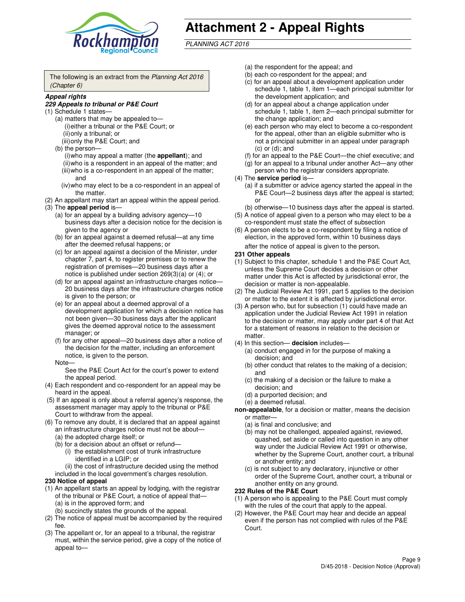

# **Attachment 2 - Appeal Rights**

PLANNING ACT 2016

The following is an extract from the Planning Act 2016 (Chapter 6)

#### **Appeal rights**

#### **229 Appeals to tribunal or P&E Court**

- (1) Schedule 1 states—
	- (a) matters that may be appealed to— (i) either a tribunal or the P&E Court; or (ii) only a tribunal; or (iii) only the P&E Court; and
	- (b) the person—
		- (i) who may appeal a matter (the **appellant**); and
		- (ii) who is a respondent in an appeal of the matter; and (iii) who is a co-respondent in an appeal of the matter; and
		- (iv) who may elect to be a co-respondent in an appeal of the matter.
- (2) An appellant may start an appeal within the appeal period.
- (3) The **appeal period** is—
	- (a) for an appeal by a building advisory agency—10 business days after a decision notice for the decision is given to the agency or
	- (b) for an appeal against a deemed refusal—at any time after the deemed refusal happens; or
	- (c) for an appeal against a decision of the Minister, under chapter 7, part 4, to register premises or to renew the registration of premises—20 business days after a notice is published under section 269(3)(a) or (4); or
	- (d) for an appeal against an infrastructure charges notice— 20 business days after the infrastructure charges notice is given to the person; or
	- (e) for an appeal about a deemed approval of a development application for which a decision notice has not been given—30 business days after the applicant gives the deemed approval notice to the assessment manager; or
	- (f) for any other appeal—20 business days after a notice of the decision for the matter, including an enforcement notice, is given to the person.
	- Note—

See the P&E Court Act for the court's power to extend the appeal period.

- (4) Each respondent and co-respondent for an appeal may be heard in the appeal.
- (5) If an appeal is only about a referral agency's response, the assessment manager may apply to the tribunal or P&E Court to withdraw from the appeal.
- (6) To remove any doubt, it is declared that an appeal against an infrastructure charges notice must not be about—
	- (a) the adopted charge itself; or
	- (b) for a decision about an offset or refund—
		- (i) the establishment cost of trunk infrastructure identified in a LGIP; or
		- (ii) the cost of infrastructure decided using the method
- included in the local government's charges resolution. **230 Notice of appeal**
- (1) An appellant starts an appeal by lodging, with the registrar of the tribunal or P&E Court, a notice of appeal that—
	- (a) is in the approved form; and
	- (b) succinctly states the grounds of the appeal.
- (2) The notice of appeal must be accompanied by the required fee.
- (3) The appellant or, for an appeal to a tribunal, the registrar must, within the service period, give a copy of the notice of appeal to—
- (a) the respondent for the appeal; and
- (b) each co-respondent for the appeal; and
- (c) for an appeal about a development application under schedule 1, table 1, item 1—each principal submitter for the development application; and
- (d) for an appeal about a change application under schedule 1, table 1, item 2—each principal submitter for the change application; and
- (e) each person who may elect to become a co-respondent for the appeal, other than an eligible submitter who is not a principal submitter in an appeal under paragraph  $(c)$  or  $(d)$ ; and
- (f) for an appeal to the P&E Court—the chief executive; and
- (g) for an appeal to a tribunal under another Act—any other person who the registrar considers appropriate.
- (4) The **service period** is—
	- (a) if a submitter or advice agency started the appeal in the P&E Court—2 business days after the appeal is started; or
	- (b) otherwise—10 business days after the appeal is started.
- (5) A notice of appeal given to a person who may elect to be a co-respondent must state the effect of subsection
- (6) A person elects to be a co-respondent by filing a notice of election, in the approved form, within 10 business days after the notice of appeal is given to the person*.*
- **231 Other appeals**
- (1) Subject to this chapter, schedule 1 and the P&E Court Act, unless the Supreme Court decides a decision or other matter under this Act is affected by jurisdictional error, the decision or matter is non-appealable.
- (2) The Judicial Review Act 1991, part 5 applies to the decision or matter to the extent it is affected by jurisdictional error.
- (3) A person who, but for subsection (1) could have made an application under the Judicial Review Act 1991 in relation to the decision or matter, may apply under part 4 of that Act for a statement of reasons in relation to the decision or matter.
- (4) In this section— **decision** includes—
	- (a) conduct engaged in for the purpose of making a decision; and
	- (b) other conduct that relates to the making of a decision; and
	- (c) the making of a decision or the failure to make a decision; and
	- (d) a purported decision; and
	- (e) a deemed refusal.

**non-appealable**, for a decision or matter, means the decision or matter—

- (a) is final and conclusive; and
- (b) may not be challenged, appealed against, reviewed, quashed, set aside or called into question in any other way under the Judicial Review Act 1991 or otherwise, whether by the Supreme Court, another court, a tribunal or another entity; and
- (c) is not subject to any declaratory, injunctive or other order of the Supreme Court, another court, a tribunal or another entity on any ground.

#### **232 Rules of the P&E Court**

- (1) A person who is appealing to the P&E Court must comply with the rules of the court that apply to the appeal.
- (2) However, the P&E Court may hear and decide an appeal even if the person has not complied with rules of the P&E Court.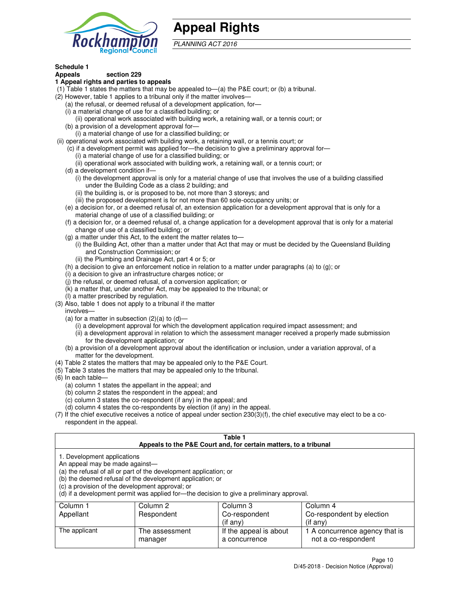

## **Appeal Rights**

PLANNING ACT 2016

## **Schedule 1**

## **Appeals section 229**

#### **1 Appeal rights and parties to appeals**

- (1) Table 1 states the matters that may be appealed to—(a) the P&E court; or (b) a tribunal.
- (2) However, table 1 applies to a tribunal only if the matter involves—
	- (a) the refusal, or deemed refusal of a development application, for—
	- (i) a material change of use for a classified building; or
	- (ii) operational work associated with building work, a retaining wall, or a tennis court; or
	- (b) a provision of a development approval for—
	- (i) a material change of use for a classified building; or
- (ii) operational work associated with building work, a retaining wall, or a tennis court; or
	- (c) if a development permit was applied for—the decision to give a preliminary approval for—
		- (i) a material change of use for a classified building; or
		- (ii) operational work associated with building work, a retaining wall, or a tennis court; or
	- (d) a development condition if—
		- (i) the development approval is only for a material change of use that involves the use of a building classified under the Building Code as a class 2 building; and
		- (ii) the building is, or is proposed to be, not more than 3 storeys; and
		- (iii) the proposed development is for not more than 60 sole-occupancy units; or
	- (e) a decision for, or a deemed refusal of, an extension application for a development approval that is only for a material change of use of a classified building; or
	- (f) a decision for, or a deemed refusal of, a change application for a development approval that is only for a material change of use of a classified building; or
	- (g) a matter under this Act, to the extent the matter relates to—
		- (i) the Building Act, other than a matter under that Act that may or must be decided by the Queensland Building and Construction Commission; or
		- (ii) the Plumbing and Drainage Act, part 4 or 5; or
	- (h) a decision to give an enforcement notice in relation to a matter under paragraphs (a) to (g); or
	- (i) a decision to give an infrastructure charges notice; or
	- (j) the refusal, or deemed refusal, of a conversion application; or
	- (k) a matter that, under another Act, may be appealed to the tribunal; or
	- (l) a matter prescribed by regulation.
- (3) Also, table 1 does not apply to a tribunal if the matter
	- involves—
	- (a) for a matter in subsection  $(2)(a)$  to  $(d)$ 
		- (i) a development approval for which the development application required impact assessment; and
		- (ii) a development approval in relation to which the assessment manager received a properly made submission for the development application; or
	- (b) a provision of a development approval about the identification or inclusion, under a variation approval, of a matter for the development.
- (4) Table 2 states the matters that may be appealed only to the P&E Court.
- (5) Table 3 states the matters that may be appealed only to the tribunal.
- (6) In each table—
	- (a) column 1 states the appellant in the appeal; and
	- (b) column 2 states the respondent in the appeal; and
	- (c) column 3 states the co-respondent (if any) in the appeal; and
	- (d) column 4 states the co-respondents by election (if any) in the appeal.
- $(7)$  If the chief executive receives a notice of appeal under section  $230(3)(f)$ , the chief executive may elect to be a corespondent in the appeal.

| Table 1<br>Appeals to the P&E Court and, for certain matters, to a tribunal                                                                                                                                                                                                                                                                    |                           |                                         |                                                       |  |
|------------------------------------------------------------------------------------------------------------------------------------------------------------------------------------------------------------------------------------------------------------------------------------------------------------------------------------------------|---------------------------|-----------------------------------------|-------------------------------------------------------|--|
| 1. Development applications<br>An appeal may be made against-<br>(a) the refusal of all or part of the development application; or<br>(b) the deemed refusal of the development application; or<br>(c) a provision of the development approval; or<br>(d) if a development permit was applied for—the decision to give a preliminary approval. |                           |                                         |                                                       |  |
| Column 2<br>Column 3<br>Column 4<br>Column 1                                                                                                                                                                                                                                                                                                   |                           |                                         |                                                       |  |
| Appellant                                                                                                                                                                                                                                                                                                                                      | Respondent                | Co-respondent                           | Co-respondent by election                             |  |
| (if any)<br>$($ if any $)$                                                                                                                                                                                                                                                                                                                     |                           |                                         |                                                       |  |
| The applicant                                                                                                                                                                                                                                                                                                                                  | The assessment<br>manager | If the appeal is about<br>a concurrence | 1 A concurrence agency that is<br>not a co-respondent |  |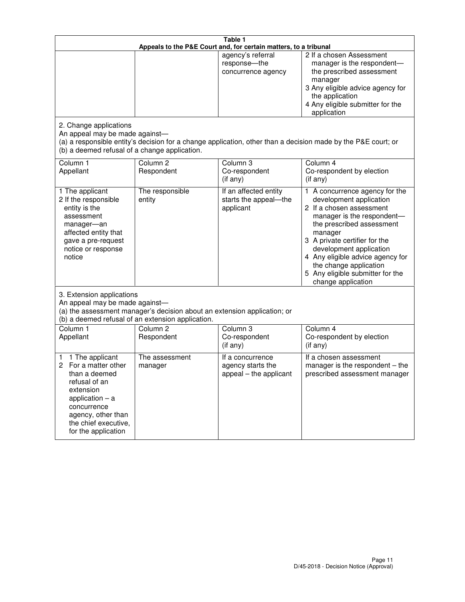| Table 1<br>Appeals to the P&E Court and, for certain matters, to a tribunal                                                                                                                             |                                   |                                                                 |                                                                                                                                                                                                                                                                                                                                                 |  |
|---------------------------------------------------------------------------------------------------------------------------------------------------------------------------------------------------------|-----------------------------------|-----------------------------------------------------------------|-------------------------------------------------------------------------------------------------------------------------------------------------------------------------------------------------------------------------------------------------------------------------------------------------------------------------------------------------|--|
| 2. Change applications                                                                                                                                                                                  |                                   | agency's referral<br>response-the<br>concurrence agency         | 2 If a chosen Assessment<br>manager is the respondent-<br>the prescribed assessment<br>manager<br>3 Any eligible advice agency for<br>the application<br>4 Any eligible submitter for the<br>application                                                                                                                                        |  |
| An appeal may be made against-<br>(b) a deemed refusal of a change application.                                                                                                                         |                                   |                                                                 | (a) a responsible entity's decision for a change application, other than a decision made by the P&E court; or                                                                                                                                                                                                                                   |  |
| Column 1<br>Appellant                                                                                                                                                                                   | Column <sub>2</sub><br>Respondent | Column <sub>3</sub><br>Co-respondent<br>(if any)                | Column 4<br>Co-respondent by election<br>(if any)                                                                                                                                                                                                                                                                                               |  |
| 1 The applicant<br>2 If the responsible<br>entity is the<br>assessment<br>manager-an<br>affected entity that<br>gave a pre-request<br>notice or response<br>notice                                      | The responsible<br>entity         | If an affected entity<br>starts the appeal-the<br>applicant     | 1 A concurrence agency for the<br>development application<br>2 If a chosen assessment<br>manager is the respondent-<br>the prescribed assessment<br>manager<br>3 A private certifier for the<br>development application<br>4 Any eligible advice agency for<br>the change application<br>5 Any eligible submitter for the<br>change application |  |
| 3. Extension applications<br>An appeal may be made against-<br>(a) the assessment manager's decision about an extension application; or<br>(b) a deemed refusal of an extension application.            |                                   |                                                                 |                                                                                                                                                                                                                                                                                                                                                 |  |
| Column 1<br>Appellant                                                                                                                                                                                   | Column <sub>2</sub><br>Respondent | Column <sub>3</sub><br>Co-respondent<br>(if any)                | Column 4<br>Co-respondent by election<br>(if any)                                                                                                                                                                                                                                                                                               |  |
| 1 The applicant<br>1<br>For a matter other<br>2<br>than a deemed<br>refusal of an<br>extension<br>application $-$ a<br>concurrence<br>agency, other than<br>the chief executive,<br>for the application | The assessment<br>manager         | If a concurrence<br>agency starts the<br>appeal - the applicant | If a chosen assessment<br>manager is the respondent $-$ the<br>prescribed assessment manager                                                                                                                                                                                                                                                    |  |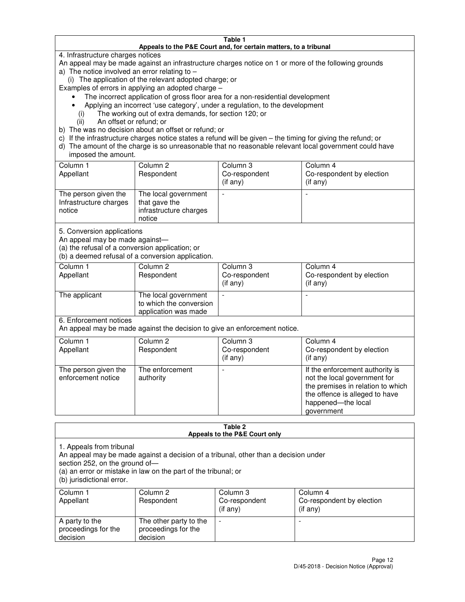#### **Table 1 Appeals to the P&E Court and, for certain matters, to a tribunal**

4. Infrastructure charges notices

An appeal may be made against an infrastructure charges notice on 1 or more of the following grounds

- a) The notice involved an error relating to
	- (i) The application of the relevant adopted charge; or

Examples of errors in applying an adopted charge –

- The incorrect application of gross floor area for a non-residential development
- Applying an incorrect 'use category', under a regulation, to the development
	- (i) The working out of extra demands, for section 120; or
	- (ii) An offset or refund; or
- b) The was no decision about an offset or refund; or
- c) If the infrastructure charges notice states a refund will be given the timing for giving the refund; or
- d) The amount of the charge is so unreasonable that no reasonable relevant local government could have imposed the amount.

| Column 1<br>Appellant                                    | Column 2<br>Respondent                                                    | Column 3<br>Co-respondent<br>$($ if any $)$ | Column 4<br>Co-respondent by election<br>$($ if any $)$ |
|----------------------------------------------------------|---------------------------------------------------------------------------|---------------------------------------------|---------------------------------------------------------|
| The person given the<br>Infrastructure charges<br>notice | The local government<br>that gave the<br>infrastructure charges<br>notice |                                             |                                                         |

5. Conversion applications

An appeal may be made against—

(a) the refusal of a conversion application; or

(b) a deemed refusal of a conversion application.

| Column 1<br>Appellant | Column 2<br>Respondent                                                  | Column 3<br>Co-respondent<br>$($ if any $)$ | Column 4<br>Co-respondent by election<br>$($ if any $)$ |  |
|-----------------------|-------------------------------------------------------------------------|---------------------------------------------|---------------------------------------------------------|--|
| The applicant         | The local government<br>to which the conversion<br>application was made |                                             |                                                         |  |

6. Enforcement notices

An appeal may be made against the decision to give an enforcement notice.

| Column 1<br>Appellant                      | Column 2<br>Respondent       | Column 3<br>Co-respondent<br>$($ if any $)$ | Column 4<br>Co-respondent by election<br>(if any)                                                                                                                          |
|--------------------------------------------|------------------------------|---------------------------------------------|----------------------------------------------------------------------------------------------------------------------------------------------------------------------------|
| The person given the<br>enforcement notice | The enforcement<br>authority |                                             | If the enforcement authority is<br>not the local government for<br>the premises in relation to which<br>the offence is alleged to have<br>happened-the local<br>government |

#### **Table 2 Appeals to the P&E Court only**

1. Appeals from tribunal

An appeal may be made against a decision of a tribunal, other than a decision under

section 252, on the ground of—

(a) an error or mistake in law on the part of the tribunal; or

(b) jurisdictional error.

| Column 1<br>Appellant                             | Column 2<br>Respondent                                    | Column 3<br>Co-respondent<br>(if any) | Column 4<br>Co-respondent by election<br>(if any) |
|---------------------------------------------------|-----------------------------------------------------------|---------------------------------------|---------------------------------------------------|
| A party to the<br>proceedings for the<br>decision | The other party to the<br>proceedings for the<br>decision | $\overline{\phantom{a}}$              |                                                   |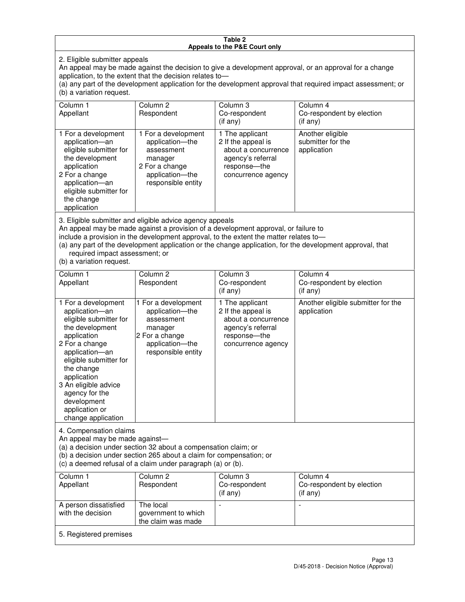#### **Table 2 Appeals to the P&E Court only**

2. Eligible submitter appeals

An appeal may be made against the decision to give a development approval, or an approval for a change application, to the extent that the decision relates to—

(a) any part of the development application for the development approval that required impact assessment; or (b) a variation request.

| Column 1<br>Appellant                                                                                                                                                                                                                                                                                                                                                                                              | Column <sub>2</sub><br>Respondent                                                                                          | Column 3<br>Co-respondent<br>(if any)                                                                                     | Column 4<br>Co-respondent by election<br>(i f any)   |
|--------------------------------------------------------------------------------------------------------------------------------------------------------------------------------------------------------------------------------------------------------------------------------------------------------------------------------------------------------------------------------------------------------------------|----------------------------------------------------------------------------------------------------------------------------|---------------------------------------------------------------------------------------------------------------------------|------------------------------------------------------|
| 1 For a development<br>application-an<br>eligible submitter for<br>the development<br>application<br>2 For a change<br>application-an<br>eligible submitter for<br>the change<br>application                                                                                                                                                                                                                       | 1 For a development<br>application-the<br>assessment<br>manager<br>2 For a change<br>application-the<br>responsible entity | 1 The applicant<br>2 If the appeal is<br>about a concurrence<br>agency's referral<br>response---the<br>concurrence agency | Another eligible<br>submitter for the<br>application |
| 3. Eligible submitter and eligible advice agency appeals<br>An appeal may be made against a provision of a development approval, or failure to<br>include a provision in the development approval, to the extent the matter relates to-<br>(a) any part of the development application or the change application, for the development approval, that<br>required impact assessment; or<br>(b) a variation request. |                                                                                                                            |                                                                                                                           |                                                      |
| Column 1<br>Appellant                                                                                                                                                                                                                                                                                                                                                                                              | Column <sub>2</sub><br>Respondent                                                                                          | Column 3<br>Co-respondent<br>(if any)                                                                                     | Column 4<br>Co-respondent by election<br>$(if$ any)  |
| 1 For a development<br>application-an<br>eligible submitter for<br>the development                                                                                                                                                                                                                                                                                                                                 | 1 For a development<br>application-the<br>assessment<br>manager                                                            | 1 The applicant<br>2 If the appeal is<br>about a concurrence<br>agency's referral                                         | Another eligible submitter for the<br>application    |

response—the concurrence agency

change application 4. Compensation claims

application 2 For a change application—an eligible submitter for

the change application 3 An eligible advice agency for the development application or

An appeal may be made against—

(a) a decision under section 32 about a compensation claim; or

2 For a change application—the responsible entity

(b) a decision under section 265 about a claim for compensation; or

(c) a deemed refusal of a claim under paragraph (a) or (b).

| Column 1<br>Appellant                      | Column 2<br>Respondent                                 | Column 3<br>Co-respondent<br>(if any) | Column 4<br>Co-respondent by election<br>$($ if any $)$ |
|--------------------------------------------|--------------------------------------------------------|---------------------------------------|---------------------------------------------------------|
| A person dissatisfied<br>with the decision | The local<br>government to which<br>the claim was made | -                                     |                                                         |
| 5. Registered premises                     |                                                        |                                       |                                                         |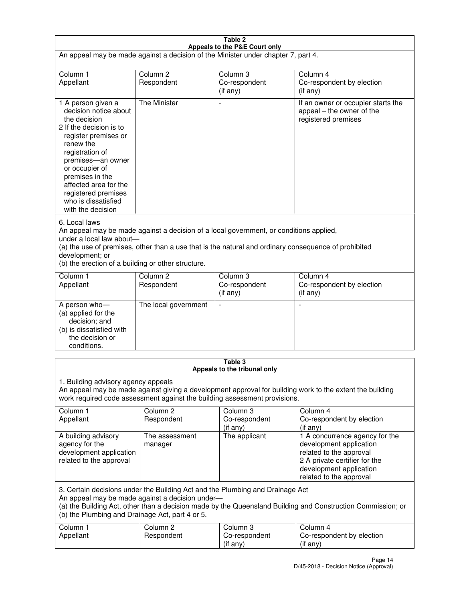| Table 2                                                                                                                                                                                                                                                                                                              |                                   |                                         |                                                                                                                                                                             |  |
|----------------------------------------------------------------------------------------------------------------------------------------------------------------------------------------------------------------------------------------------------------------------------------------------------------------------|-----------------------------------|-----------------------------------------|-----------------------------------------------------------------------------------------------------------------------------------------------------------------------------|--|
| Appeals to the P&E Court only<br>An appeal may be made against a decision of the Minister under chapter 7, part 4.                                                                                                                                                                                                   |                                   |                                         |                                                                                                                                                                             |  |
| Column 1                                                                                                                                                                                                                                                                                                             | Column <sub>2</sub>               | Column <sub>3</sub>                     | Column 4                                                                                                                                                                    |  |
| Appellant                                                                                                                                                                                                                                                                                                            | Respondent                        | Co-respondent<br>(if any)               | Co-respondent by election<br>(if any)                                                                                                                                       |  |
| 1 A person given a<br>decision notice about<br>the decision<br>2 If the decision is to<br>register premises or<br>renew the<br>registration of<br>premises-an owner<br>or occupier of<br>premises in the<br>affected area for the<br>registered premises<br>who is dissatisfied<br>with the decision                 | <b>The Minister</b>               | ÷,                                      | If an owner or occupier starts the<br>appeal – the owner of the<br>registered premises                                                                                      |  |
| 6. Local laws<br>An appeal may be made against a decision of a local government, or conditions applied,<br>under a local law about-<br>(a) the use of premises, other than a use that is the natural and ordinary consequence of prohibited<br>development; or<br>(b) the erection of a building or other structure. |                                   |                                         |                                                                                                                                                                             |  |
| Column 1<br>Appellant                                                                                                                                                                                                                                                                                                | Column 2<br>Respondent            | Column 3<br>Co-respondent<br>(if any)   | Column 4<br>Co-respondent by election<br>(if any)                                                                                                                           |  |
| A person who-<br>(a) applied for the<br>decision; and<br>(b) is dissatisfied with<br>the decision or<br>conditions.                                                                                                                                                                                                  | The local government              |                                         |                                                                                                                                                                             |  |
|                                                                                                                                                                                                                                                                                                                      |                                   | Table 3<br>Appeals to the tribunal only |                                                                                                                                                                             |  |
| 1. Building advisory agency appeals<br>An appeal may be made against giving a development approval for building work to the extent the building<br>work required code assessment against the building assessment provisions.                                                                                         |                                   |                                         |                                                                                                                                                                             |  |
| Column 1<br>Appellant                                                                                                                                                                                                                                                                                                | Column <sub>2</sub><br>Respondent | Column 3<br>Co-respondent<br>(if any)   | Column 4<br>Co-respondent by election<br>(if any)                                                                                                                           |  |
| A building advisory<br>agency for the<br>development application<br>related to the approval                                                                                                                                                                                                                          | The assessment<br>manager         | The applicant                           | 1 A concurrence agency for the<br>development application<br>related to the approval<br>2 A private certifier for the<br>development application<br>related to the approval |  |
| 3. Certain decisions under the Building Act and the Plumbing and Drainage Act<br>An appeal may be made against a decision under-<br>(a) the Building Act, other than a decision made by the Queensland Building and Construction Commission; or<br>(b) the Plumbing and Drainage Act, part 4 or 5.                   |                                   |                                         |                                                                                                                                                                             |  |
| Column 1<br>Appellant                                                                                                                                                                                                                                                                                                | Column <sub>2</sub><br>Respondent | Column 3<br>Co-respondent<br>(if any)   | Column 4<br>Co-respondent by election<br>(if any)                                                                                                                           |  |